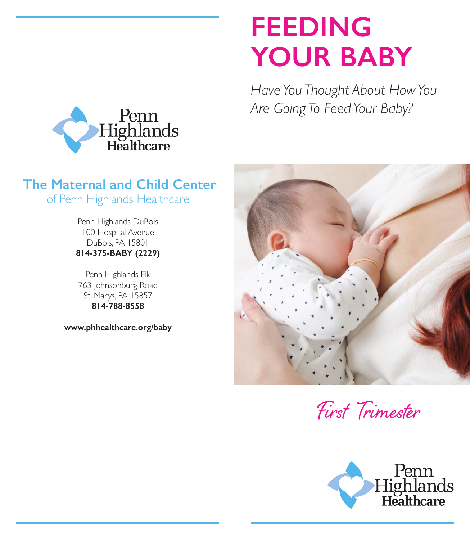## **FEEDING YOUR BABY**

*Have You Thought About How You Are Going To Feed Your Baby?*



## **The Maternal and Child Center** of Penn Highlands Healthcare

Penn Highlands DuBois 100 Hospital Avenue DuBois, PA 15801 **814-375-BABY (2229)**

Penn Highlands Elk 763 Johnsonburg Road St. Marys, PA 15857 **814-788-8558**

**www.phhealthcare.org/baby**



First Trimester